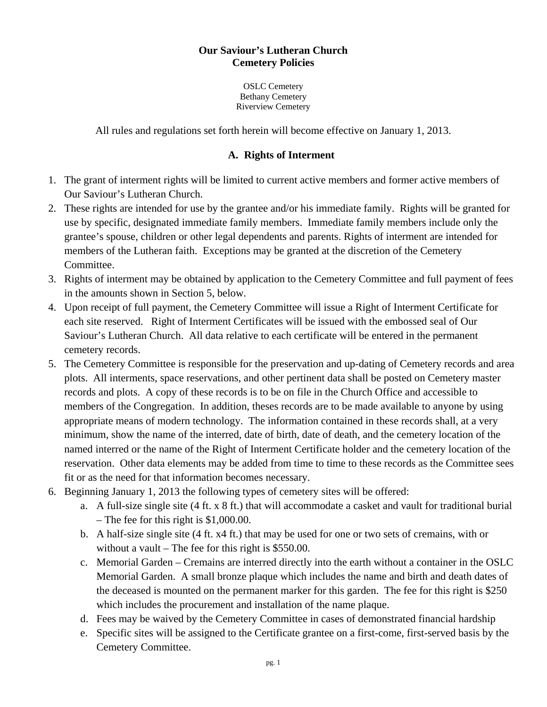#### **Our Saviour's Lutheran Church Cemetery Policies**

OSLC Cemetery Bethany Cemetery Riverview Cemetery

All rules and regulations set forth herein will become effective on January 1, 2013.

#### **A. Rights of Interment**

- 1. The grant of interment rights will be limited to current active members and former active members of Our Saviour's Lutheran Church.
- 2. These rights are intended for use by the grantee and/or his immediate family. Rights will be granted for use by specific, designated immediate family members. Immediate family members include only the grantee's spouse, children or other legal dependents and parents. Rights of interment are intended for members of the Lutheran faith. Exceptions may be granted at the discretion of the Cemetery Committee.
- 3. Rights of interment may be obtained by application to the Cemetery Committee and full payment of fees in the amounts shown in Section 5, below.
- 4. Upon receipt of full payment, the Cemetery Committee will issue a Right of Interment Certificate for each site reserved. Right of Interment Certificates will be issued with the embossed seal of Our Saviour's Lutheran Church. All data relative to each certificate will be entered in the permanent cemetery records.
- 5. The Cemetery Committee is responsible for the preservation and up-dating of Cemetery records and area plots. All interments, space reservations, and other pertinent data shall be posted on Cemetery master records and plots. A copy of these records is to be on file in the Church Office and accessible to members of the Congregation. In addition, theses records are to be made available to anyone by using appropriate means of modern technology. The information contained in these records shall, at a very minimum, show the name of the interred, date of birth, date of death, and the cemetery location of the named interred or the name of the Right of Interment Certificate holder and the cemetery location of the reservation. Other data elements may be added from time to time to these records as the Committee sees fit or as the need for that information becomes necessary.
- 6. Beginning January 1, 2013 the following types of cemetery sites will be offered:
	- a. A full-size single site (4 ft. x 8 ft.) that will accommodate a casket and vault for traditional burial – The fee for this right is \$1,000.00.
	- b. A half-size single site (4 ft. x4 ft.) that may be used for one or two sets of cremains, with or without a vault – The fee for this right is \$550.00.
	- c. Memorial Garden Cremains are interred directly into the earth without a container in the OSLC Memorial Garden. A small bronze plaque which includes the name and birth and death dates of the deceased is mounted on the permanent marker for this garden. The fee for this right is \$250 which includes the procurement and installation of the name plaque.
	- d. Fees may be waived by the Cemetery Committee in cases of demonstrated financial hardship
	- e. Specific sites will be assigned to the Certificate grantee on a first-come, first-served basis by the Cemetery Committee.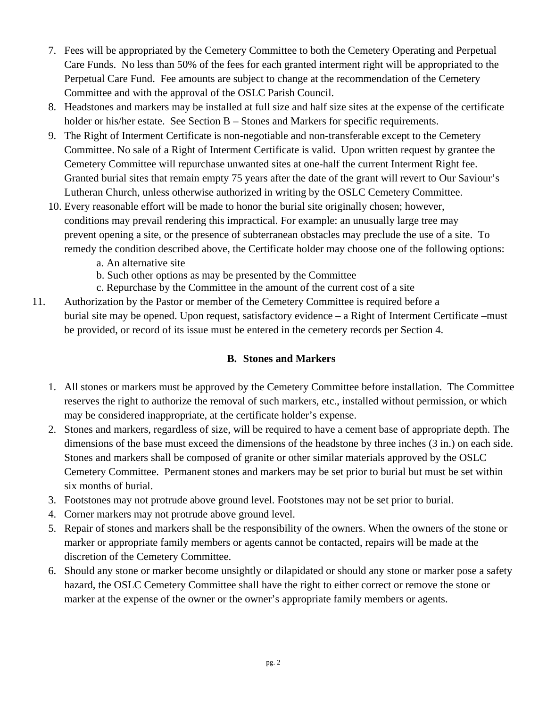- 7. Fees will be appropriated by the Cemetery Committee to both the Cemetery Operating and Perpetual Care Funds. No less than 50% of the fees for each granted interment right will be appropriated to the Perpetual Care Fund. Fee amounts are subject to change at the recommendation of the Cemetery Committee and with the approval of the OSLC Parish Council.
- 8. Headstones and markers may be installed at full size and half size sites at the expense of the certificate holder or his/her estate. See Section B – Stones and Markers for specific requirements.
- 9. The Right of Interment Certificate is non-negotiable and non-transferable except to the Cemetery Committee. No sale of a Right of Interment Certificate is valid. Upon written request by grantee the Cemetery Committee will repurchase unwanted sites at one-half the current Interment Right fee. Granted burial sites that remain empty 75 years after the date of the grant will revert to Our Saviour's Lutheran Church, unless otherwise authorized in writing by the OSLC Cemetery Committee.
- 10. Every reasonable effort will be made to honor the burial site originally chosen; however, conditions may prevail rendering this impractical. For example: an unusually large tree may prevent opening a site, or the presence of subterranean obstacles may preclude the use of a site. To remedy the condition described above, the Certificate holder may choose one of the following options:
	- a. An alternative site
	- b. Such other options as may be presented by the Committee
	- c. Repurchase by the Committee in the amount of the current cost of a site
- 11. Authorization by the Pastor or member of the Cemetery Committee is required before a burial site may be opened. Upon request, satisfactory evidence – a Right of Interment Certificate –must be provided, or record of its issue must be entered in the cemetery records per Section 4.

## **B. Stones and Markers**

- 1. All stones or markers must be approved by the Cemetery Committee before installation. The Committee reserves the right to authorize the removal of such markers, etc., installed without permission, or which may be considered inappropriate, at the certificate holder's expense.
- 2. Stones and markers, regardless of size, will be required to have a cement base of appropriate depth. The dimensions of the base must exceed the dimensions of the headstone by three inches (3 in.) on each side. Stones and markers shall be composed of granite or other similar materials approved by the OSLC Cemetery Committee. Permanent stones and markers may be set prior to burial but must be set within six months of burial.
- 3. Footstones may not protrude above ground level. Footstones may not be set prior to burial.
- 4. Corner markers may not protrude above ground level.
- 5. Repair of stones and markers shall be the responsibility of the owners. When the owners of the stone or marker or appropriate family members or agents cannot be contacted, repairs will be made at the discretion of the Cemetery Committee.
- 6. Should any stone or marker become unsightly or dilapidated or should any stone or marker pose a safety hazard, the OSLC Cemetery Committee shall have the right to either correct or remove the stone or marker at the expense of the owner or the owner's appropriate family members or agents.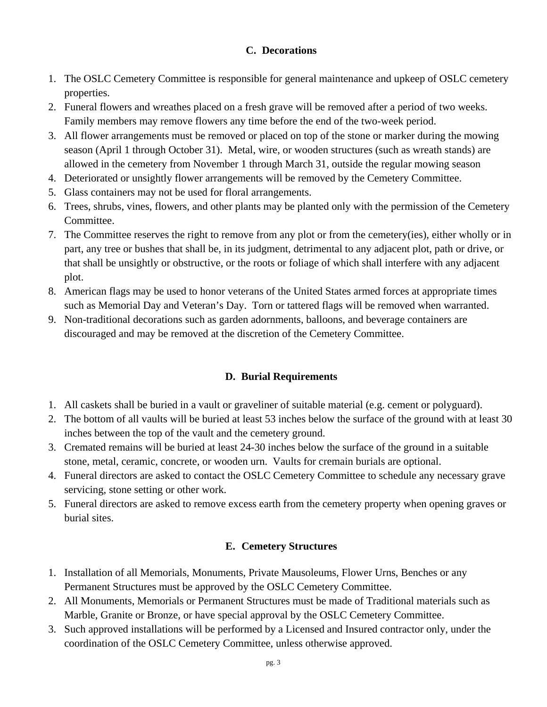## **C. Decorations**

- 1. The OSLC Cemetery Committee is responsible for general maintenance and upkeep of OSLC cemetery properties.
- 2. Funeral flowers and wreathes placed on a fresh grave will be removed after a period of two weeks. Family members may remove flowers any time before the end of the two-week period.
- 3. All flower arrangements must be removed or placed on top of the stone or marker during the mowing season (April 1 through October 31). Metal, wire, or wooden structures (such as wreath stands) are allowed in the cemetery from November 1 through March 31, outside the regular mowing season
- 4. Deteriorated or unsightly flower arrangements will be removed by the Cemetery Committee.
- 5. Glass containers may not be used for floral arrangements.
- 6. Trees, shrubs, vines, flowers, and other plants may be planted only with the permission of the Cemetery Committee.
- 7. The Committee reserves the right to remove from any plot or from the cemetery(ies), either wholly or in part, any tree or bushes that shall be, in its judgment, detrimental to any adjacent plot, path or drive, or that shall be unsightly or obstructive, or the roots or foliage of which shall interfere with any adjacent plot.
- 8. American flags may be used to honor veterans of the United States armed forces at appropriate times such as Memorial Day and Veteran's Day. Torn or tattered flags will be removed when warranted.
- 9. Non-traditional decorations such as garden adornments, balloons, and beverage containers are discouraged and may be removed at the discretion of the Cemetery Committee.

# **D. Burial Requirements**

- 1. All caskets shall be buried in a vault or graveliner of suitable material (e.g. cement or polyguard).
- 2. The bottom of all vaults will be buried at least 53 inches below the surface of the ground with at least 30 inches between the top of the vault and the cemetery ground.
- 3. Cremated remains will be buried at least 24-30 inches below the surface of the ground in a suitable stone, metal, ceramic, concrete, or wooden urn. Vaults for cremain burials are optional.
- 4. Funeral directors are asked to contact the OSLC Cemetery Committee to schedule any necessary grave servicing, stone setting or other work.
- 5. Funeral directors are asked to remove excess earth from the cemetery property when opening graves or burial sites.

#### **E. Cemetery Structures**

- 1. Installation of all Memorials, Monuments, Private Mausoleums, Flower Urns, Benches or any Permanent Structures must be approved by the OSLC Cemetery Committee.
- 2. All Monuments, Memorials or Permanent Structures must be made of Traditional materials such as Marble, Granite or Bronze, or have special approval by the OSLC Cemetery Committee.
- 3. Such approved installations will be performed by a Licensed and Insured contractor only, under the coordination of the OSLC Cemetery Committee, unless otherwise approved.